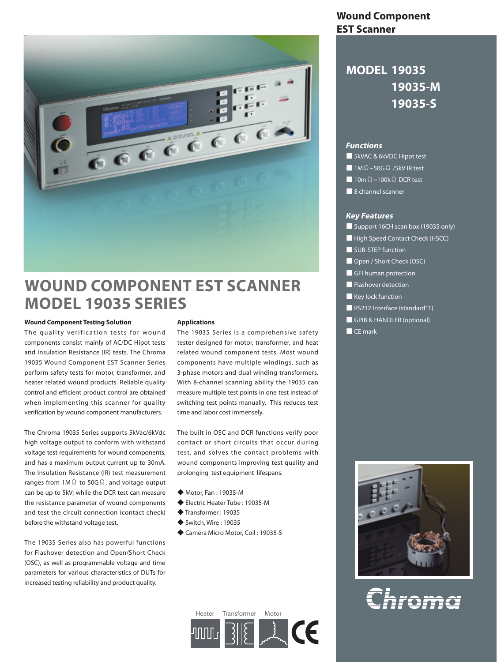

# **WOUND COMPONENT EST SCANNER MODEL 19035 SERIES**

## **Wound Component Testing Solution**

The quality verification tests for wound components consist mainly of AC/DC Hipot tests and Insulation Resistance (IR) tests. The Chroma 19035 Wound Component EST Scanner Series perform safety tests for motor, transformer, and heater related wound products. Reliable quality control and efficient product control are obtained when implementing this scanner for quality verification by wound component manufacturers.

The Chroma 19035 Series supports 5kVac/6kVdc high voltage output to conform with withstand voltage test requirements for wound components, and has a maximum output current up to 30mA. The Insulation Resistance (IR) test measurement ranges from  $1M\Omega$  to 50G $\Omega$ , and voltage output can be up to 5kV; while the DCR test can measure the resistance parameter of wound components and test the circuit connection (contact check) before the withstand voltage test.

The 19035 Series also has powerful functions for Flashover detection and Open/Short Check (OSC), as well as programmable voltage and time parameters for various characteristics of DUTs for increased testing reliability and product quality.

### **Applications**

The 19035 Series is a comprehensive safety tester designed for motor, transformer, and heat related wound component tests. Most wound components have multiple windings, such as 3-phase motors and dual winding transformers. With 8-channel scanning ability the 19035 can measure multiple test points in one test instead of switching test points manually. This reduces test time and labor cost immensely.

The built in OSC and DCR functions verify poor contact or short circuits that occur during test, and solves the contact problems with wound components improving test quality and prolonging test equipment lifespans.

- ◆ Motor, Fan : 19035-M
- ◆ Electric Heater Tube : 19035-M
- ◆ Transformer : 19035
- ◆ Switch, Wire : 19035
- ◆ Camera Micro Motor, Coil : 19035-S

## **Wound Component EST Scanner**

## **MODEL 19035 19035-M 19035-S**

## **Functions**

■ 5kVAC & 6kVDC Hipot test

- $\blacksquare$  1M $\Omega$ ~50G $\Omega$  /5kV IR test
- 10m Q ~100k Q DCR test
- 8 channel scanner

## **Key Features**

- Support 16CH scan box (19035 only)
- High Speed Contact Check (HSCC)
- SUB-STEP function
- Open / Short Check (OSC)
- GFI human protection
- Flashover detection
- Key lock function
- RS232 Interface (standard\*1)
- GPIB & HANDLER (optional)
- CE mark





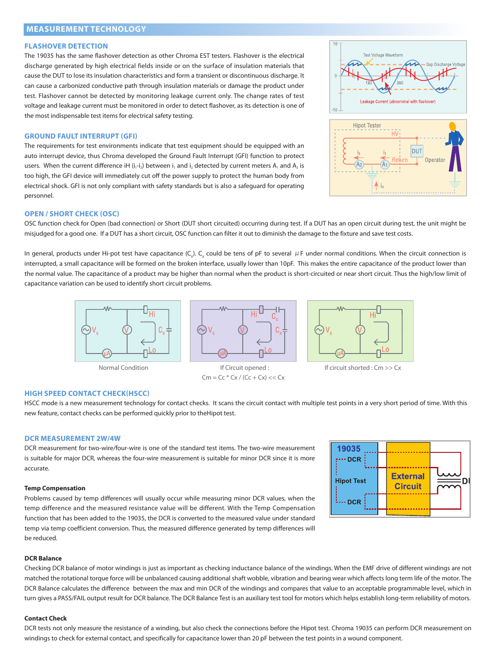## **MEASUREMENT TECHNOLOGY**

#### **FLASHOVER DETECTION**

The 19035 has the same flashover detection as other Chroma EST testers. Flashover is the electrical discharge generated by high electrical fields inside or on the surface of insulation materials that cause the DUT to lose its insulation characteristics and form a transient or discontinuous discharge. It can cause a carbonized conductive path through insulation materials or damage the product under test. Flashover cannot be detected by monitoring leakage current only. The change rates of test voltage and leakage current must be monitored in order to detect flashover, as its detection is one of the most indispensable test items for electrical safety testing.

#### **GROUND FAULT INTERRUPT (GFI)**

The requirements for test environments indicate that test equipment should be equipped with an auto interrupt device, thus Chroma developed the Ground Fault Interrupt (GFI) function to protect users. When the current difference iH (i<sub>1</sub>-i<sub>2</sub>) between i<sub>1</sub> and i<sub>2</sub> detected by current meters A<sub>1</sub> and A<sub>2</sub> is too high, the GFI device will immediately cut off the power supply to protect the human body from electrical shock. GFI is not only compliant with safety standards but is also a safeguard for operating personnel.



#### **OPEN / SHORT CHECK (OSC)**

OSC function check for Open (bad connection) or Short (DUT short circuited) occurring during test. If a DUT has an open circuit during test, the unit might be misjudged for a good one. If a DUT has a short circuit, OSC function can filter it out to diminish the damage to the fixture and save test costs.

In general, products under Hi-pot test have capacitance (C<sub>x</sub>). C<sub>x</sub> could be tens of pF to several  $\mu$ F under normal conditions. When the circuit connection is interrupted, a small capacitance will be formed on the broken interface, usually lower than 10pF. This makes the entire capacitance of the product lower than the normal value. The capacitance of a product may be higher than normal when the product is short-circuited or near short circuit. Thus the high/low limit of capacitance variation can be used to identify short circuit problems.



 $Cm = Cc * Cx / (Cc + Cx) << Cx$ 



#### **HIGH SPEED CONTACT CHECK(HSCC)**

HSCC mode is a new measurement technology for contact checks. It scans the circuit contact with multiple test points in a very short period of time. With this new feature, contact checks can be performed quickly prior to theHipot test.

#### **DCR MEASUREMENT 2W/4W**

DCR measurement for two-wire/four-wire is one of the standard test items. The two-wire measurement is suitable for major DCR, whereas the four-wire measurement is suitable for minor DCR since it is more accurate.

#### **Temp Compensation**

Problems caused by temp differences will usually occur while measuring minor DCR values, when the temp difference and the measured resistance value will be different. With the Temp Compensation function that has been added to the 19035, the DCR is converted to the measured value under standard temp via temp coefficient conversion. Thus, the measured difference generated by temp differences will be reduced.



#### **DCR Balance**

Checking DCR balance of motor windings is just as important as checking inductance balance of the windings. When the EMF drive of different windings are not matched the rotational torque force will be unbalanced causing additional shaft wobble, vibration and bearing wear which affects long term life of the motor. The DCR Balance calculates the difference between the max and min DCR of the windings and compares that value to an acceptable programmable level, which in turn gives a PASS/FAIL output result for DCR balance. The DCR Balance Test is an auxiliary test tool for motors which helps establish long-term reliability of motors.

### **Contact Check**

DCR tests not only measure the resistance of a winding, but also check the connections before the Hipot test. Chroma 19035 can perform DCR measurement on windings to check for external contact, and specifically for capacitance lower than 20 pF between the test points in a wound component.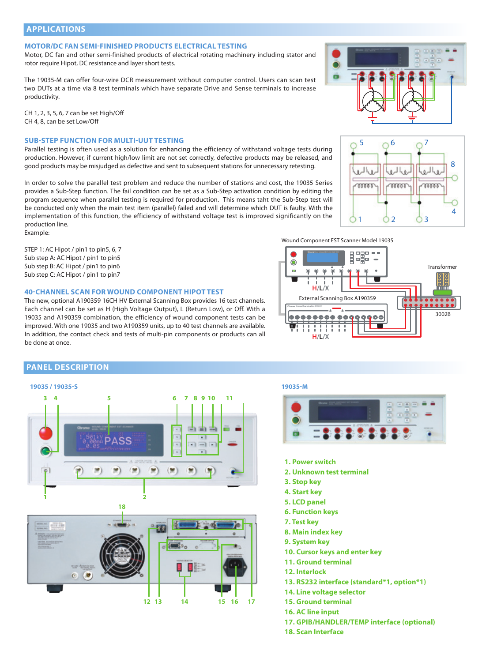## **APPLICATIONS**

## **MOTOR/DC FAN SEMI-FINISHED PRODUCTS ELECTRICAL TESTING**

Motor, DC fan and other semi-finished products of electrical rotating machinery including stator and rotor require Hipot, DC resistance and layer short tests.

The 19035-M can offer four-wire DCR measurement without computer control. Users can scan test two DUTs at a time via 8 test terminals which have separate Drive and Sense terminals to increase productivity.

CH 1, 2, 3, 5, 6, 7 can be set High/Off CH 4, 8, can be set Low/Off

## **SUB-STEP FUNCTION FOR MULTI-UUT TESTING**

Parallel testing is often used as a solution for enhancing the efficiency of withstand voltage tests during production. However, if current high/low limit are not set correctly, defective products may be released, and good products may be misjudged as defective and sent to subsequent stations for unnecessary retesting.

In order to solve the parallel test problem and reduce the number of stations and cost, the 19035 Series provides a Sub-Step function. The fail condition can be set as a Sub-Step activation condition by editing the program sequence when parallel testing is required for production. This means taht the Sub-Step test will be conducted only when the main test item (parallel) failed and will determine which DUT is faulty. With the implementation of this function, the efficiency of withstand voltage test is improved significantly on the production line. Example:

STEP 1: AC Hipot / pin1 to pin5, 6, 7 Sub step A: AC Hipot / pin1 to pin5 Sub step B: AC Hipot / pin1 to pin6 Sub step C: AC Hipot / pin1 to pin7

## **40-CHANNEL SCAN FOR WOUND COMPONENT HIPOT TEST**

The new, optional A190359 16CH HV External Scanning Box provides 16 test channels. Each channel can be set as H (High Voltage Output), L (Return Low), or Off. With a 19035 and A190359 combination, the efficiency of wound component tests can be improved. With one 19035 and two A190359 units, up to 40 test channels are available. In addition, the contact check and tests of multi-pin components or products can all be done at once.

## **PANEL DESCRIPTION**







Wound Component EST Scanner Model 19035





- **1. Power switch**
- **2. Unknown test terminal**
- **3. Stop key**
- **4. Start key**
- **5. LCD panel**
- **6. Function keys**
- **7. Test key**
- **8. Main index key**
- **9. System key**
- **10. Cursor keys and enter key**
- **11. Ground terminal**
- **12. Interlock**
- **13. RS232 interface (standard\*1, option\*1)**
- **14. Line voltage selector**
- **15. Ground terminal**
- **16. AC line input**
- **17. GPIB/HANDLER/TEMP interface (optional)**
- **18. Scan Interface**